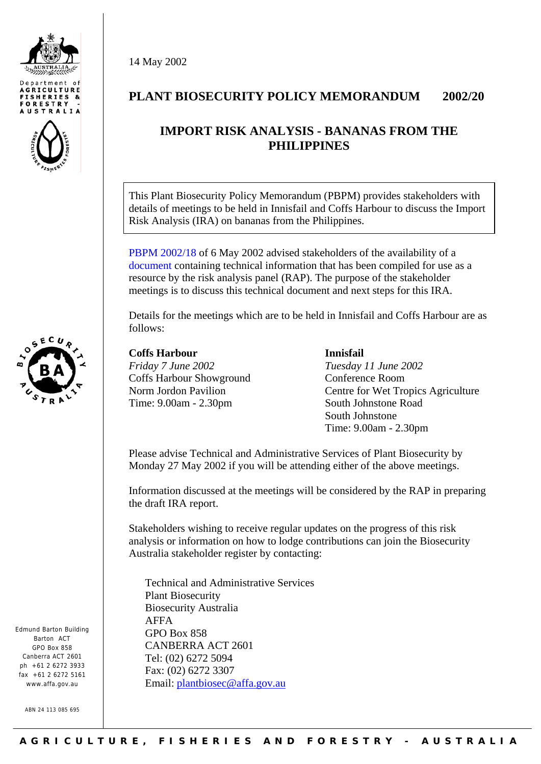





Edmund Barton Building Barton ACT GPO Box 858 Canberra ACT 2601  $nh + 61$  2 6272 3933 fax +61 2 6272 5161 www.affa.gov.au

ABN 24 113 085 695

14 May 2002

## **PLANT BIOSECURITY POLICY MEMORANDUM 2002/20**

# **IMPORT RISK ANALYSIS - BANANAS FROM THE PHILIPPINES**

This Plant Biosecurity Policy Memorandum (PBPM) provides stakeholders with details of meetings to be held in Innisfail and Coffs Harbour to discuss the Import Risk Analysis (IRA) on bananas from the Philippines.

[PBPM 2002/18](http://www.affa.gov.au/content/output.cfm?ObjectID=F25B330A-FD6B-474E-B1B57A1243383FB0) of 6 May 2002 advised stakeholders of the availability of a [document](http://www.affa.gov.au/content/publications.cfm?ObjectID=727DF9AF-70EF-4C96-A8540B76ABC01BFE) containing technical information that has been compiled for use as a resource by the risk analysis panel (RAP). The purpose of the stakeholder meetings is to discuss this technical document and next steps for this IRA.

Details for the meetings which are to be held in Innisfail and Coffs Harbour are as follows:

## **Coffs Harbour**

*Friday 7 June 2002*  Coffs Harbour Showground Norm Jordon Pavilion Time: 9.00am - 2.30pm

#### **Innisfail**

*Tuesday 11 June 2002*  Conference Room Centre for Wet Tropics Agriculture South Johnstone Road South Johnstone Time: 9.00am - 2.30pm

Please advise Technical and Administrative Services of Plant Biosecurity by Monday 27 May 2002 if you will be attending either of the above meetings.

Information discussed at the meetings will be considered by the RAP in preparing the draft IRA report.

Stakeholders wishing to receive regular updates on the progress of this risk analysis or information on how to lodge contributions can join the Biosecurity Australia stakeholder register by contacting:

Technical and Administrative Services Plant Biosecurity Biosecurity Australia AFFA GPO Box 858 CANBERRA ACT 2601 Tel: (02) 6272 5094 Fax: (02) 6272 3307 Email: [plantbiosec@affa.gov.au](mailto:plantbiosec@affa.gov.au)